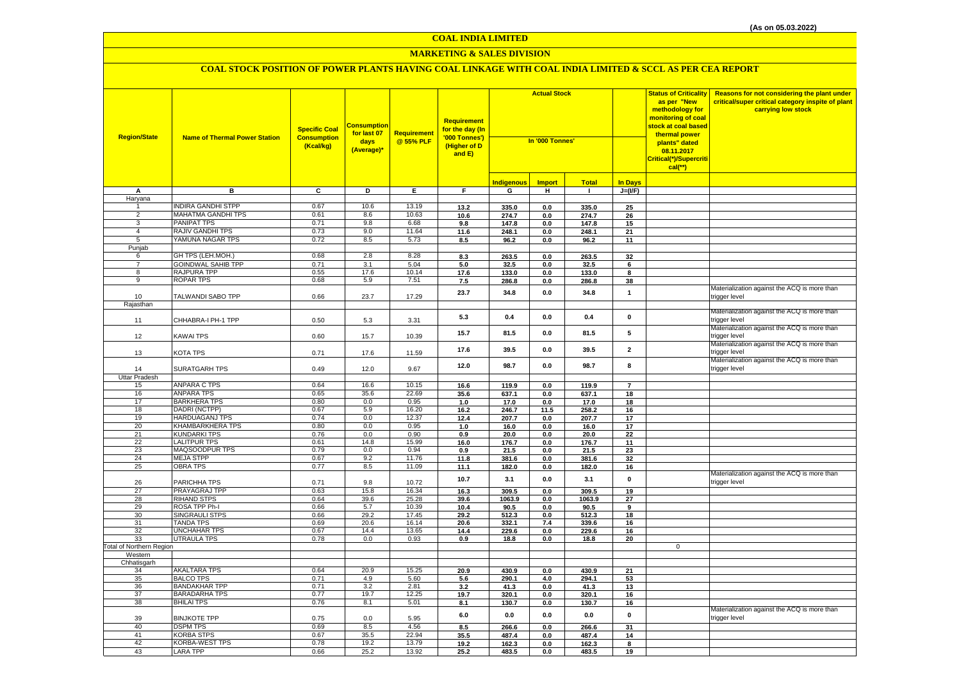#### **MARKETING & SALES DIVISION**

| <b>Region/State</b>             | <b>Name of Thermal Power Station</b>            | <b>Specific Coal</b><br><b>Consumption</b><br>(Kcal/kg) | Consumption<br>for last 07<br>days<br>(Average)* | <b>Requirement</b><br>@ 55% PLF | <b>Requirement</b><br>for the day (In<br>'000 Tonnes')<br>(Higher of D<br>and E) | <b>Actual Stock</b><br>In '000 Tonnes' |                |                 |                      | <b>Status of Criticality</b><br>as per "New<br>methodology for<br>monitoring of coal<br>stock at coal based<br>thermal power<br>plants" dated<br>08.11.2017<br>Critical(*)/Supercriti<br>$cal(**)$ | Reasons for not considering the plant under<br>critical/super critical category inspite of plant<br>carrying low stock |
|---------------------------------|-------------------------------------------------|---------------------------------------------------------|--------------------------------------------------|---------------------------------|----------------------------------------------------------------------------------|----------------------------------------|----------------|-----------------|----------------------|----------------------------------------------------------------------------------------------------------------------------------------------------------------------------------------------------|------------------------------------------------------------------------------------------------------------------------|
|                                 |                                                 |                                                         |                                                  |                                 |                                                                                  | ndigenous                              | <b>Import</b>  | <b>Total</b>    | <b>In Days</b>       |                                                                                                                                                                                                    |                                                                                                                        |
| A                               | в                                               | $\overline{c}$                                          | Þ                                                | E                               | F.                                                                               | G                                      | H              | $\mathbf{L}$    | $J=(I/F)$            |                                                                                                                                                                                                    |                                                                                                                        |
| Haryana                         |                                                 |                                                         |                                                  |                                 |                                                                                  |                                        |                |                 |                      |                                                                                                                                                                                                    |                                                                                                                        |
|                                 | <b>INDIRA GANDHI STPP</b>                       | 0.67                                                    | 10.6                                             | 13.19                           | 13.2                                                                             | 335.0                                  | 0.0            | 335.0           | 25                   |                                                                                                                                                                                                    |                                                                                                                        |
| $\overline{2}$                  | MAHATMA GANDHI TPS                              | 0.61                                                    | 8.6                                              | 10.63                           | 10.6                                                                             | 274.7                                  | 0.0            | 274.7           | 26                   |                                                                                                                                                                                                    |                                                                                                                        |
| 3                               | PANIPAT TPS                                     | 0.71                                                    | 9.8                                              | 6.68                            | 9.8                                                                              | 147.8                                  | 0.0            | 147.8           | 15                   |                                                                                                                                                                                                    |                                                                                                                        |
| $\overline{4}$                  | <b>RAJIV GANDHI TPS</b>                         | 0.73                                                    | 9.0                                              | 11.64                           | 11.6                                                                             | 248.1                                  | 0.0            | 248.1           | 21                   |                                                                                                                                                                                                    |                                                                                                                        |
| $5\overline{)}$                 | YAMUNA NAGAR TPS                                | 0.72                                                    | 8.5                                              | 5.73                            | 8.5                                                                              | 96.2                                   | $\mathbf{0.0}$ | 96.2            | 11                   |                                                                                                                                                                                                    |                                                                                                                        |
| Punjab                          |                                                 |                                                         |                                                  |                                 |                                                                                  |                                        |                |                 |                      |                                                                                                                                                                                                    |                                                                                                                        |
| 6                               | GH TPS (LEH.MOH.)                               | 0.68                                                    | 2.8                                              | 8.28                            | 8.3                                                                              | 263.5                                  | 0.0            | 263.5           | 32                   |                                                                                                                                                                                                    |                                                                                                                        |
| $\overline{7}$<br>8             | <b>GOINDWAL SAHIB TPP</b><br><b>RAJPURA TPP</b> | 0.71<br>0.55                                            | 3.1<br>17.6                                      | 5.04<br>10.14                   | 5.0                                                                              | 32.5                                   | 0.0            | 32.5            | 6                    |                                                                                                                                                                                                    |                                                                                                                        |
| 9                               | <b>ROPAR TPS</b>                                | 0.68                                                    | 5.9                                              | 7.51                            | 17.6<br>7.5                                                                      | 133.0<br>286.8                         | 0.0<br>0.0     | 133.0<br>286.8  | 8<br>38              |                                                                                                                                                                                                    |                                                                                                                        |
|                                 |                                                 |                                                         |                                                  |                                 |                                                                                  |                                        |                |                 |                      |                                                                                                                                                                                                    | Materialization against the ACQ is more than                                                                           |
| 10                              | TALWANDI SABO TPP                               | 0.66                                                    | 23.7                                             | 17.29                           | 23.7                                                                             | 34.8                                   | 0.0            | 34.8            | $\mathbf{1}$         |                                                                                                                                                                                                    | rigger level                                                                                                           |
| Rajasthan                       |                                                 |                                                         |                                                  |                                 |                                                                                  |                                        |                |                 |                      |                                                                                                                                                                                                    |                                                                                                                        |
|                                 |                                                 |                                                         |                                                  |                                 |                                                                                  |                                        |                |                 |                      |                                                                                                                                                                                                    | Materialization against the ACQ is more than                                                                           |
| 11                              | CHHABRA-I PH-1 TPP                              | 0.50                                                    | 5.3                                              | 3.31                            | 5.3                                                                              | 0.4                                    | 0.0            | 0.4             | $\pmb{0}$            |                                                                                                                                                                                                    | rigger level                                                                                                           |
|                                 |                                                 |                                                         |                                                  |                                 | 15.7                                                                             | 81.5                                   | 0.0            | 81.5            | 5                    |                                                                                                                                                                                                    | Materialization against the ACQ is more than                                                                           |
| 12                              | <b>KAWAI TPS</b>                                | 0.60                                                    | 15.7                                             | 10.39                           |                                                                                  |                                        |                |                 |                      |                                                                                                                                                                                                    | rigger level                                                                                                           |
|                                 |                                                 |                                                         |                                                  |                                 | 17.6                                                                             | 39.5                                   | 0.0            | 39.5            | $\mathbf{2}$         |                                                                                                                                                                                                    | Materialization against the ACQ is more than                                                                           |
| 13                              | KOTA TPS                                        | 0.71                                                    | 17.6                                             | 11.59                           |                                                                                  |                                        |                |                 |                      |                                                                                                                                                                                                    | rigger level                                                                                                           |
|                                 |                                                 |                                                         |                                                  |                                 | 12.0                                                                             | 98.7                                   | $\mathbf{0.0}$ | 98.7            | 8                    |                                                                                                                                                                                                    | Materialization against the ACQ is more than                                                                           |
| 14                              | SURATGARH TPS                                   | 0.49                                                    | 12.0                                             | 9.67                            |                                                                                  |                                        |                |                 |                      |                                                                                                                                                                                                    | rigger level                                                                                                           |
| <b>Uttar Pradesh</b><br>15      | <b>ANPARA C TPS</b>                             | 0.64                                                    | 16.6                                             | 10.15                           |                                                                                  |                                        |                |                 |                      |                                                                                                                                                                                                    |                                                                                                                        |
| 16                              | <b>ANPARA TPS</b>                               | 0.65                                                    | 35.6                                             | 22.69                           | 16.6                                                                             | 119.9                                  | 0.0            | 119.9<br>637.1  | $\overline{7}$<br>18 |                                                                                                                                                                                                    |                                                                                                                        |
| 17                              | <b>BARKHERA TPS</b>                             | 0.80                                                    | 0.0                                              | 0.95                            | 35.6<br>1.0                                                                      | 637.1<br>17.0                          | 0.0<br>0.0     | 17.0            | 18                   |                                                                                                                                                                                                    |                                                                                                                        |
| 18                              | DADRI (NCTPP)                                   | 0.67                                                    | 5.9                                              | 16.20                           | 16.2                                                                             | 246.7                                  | 11.5           | 258.2           | 16                   |                                                                                                                                                                                                    |                                                                                                                        |
| 19                              | <b>HARDUAGANJ TPS</b>                           | 0.74                                                    | 0.0                                              | 12.37                           | 12.4                                                                             | 207.7                                  | 0.0            | 207.7           | 17                   |                                                                                                                                                                                                    |                                                                                                                        |
| 20                              | <b>KHAMBARKHERA TPS</b>                         | 0.80                                                    | 0.0                                              | 0.95                            | 1.0                                                                              | 16.0                                   | 0.0            | 16.0            | 17                   |                                                                                                                                                                                                    |                                                                                                                        |
| 21                              | <b>KUNDARKI TPS</b>                             | 0.76                                                    | 0.0                                              | 0.90                            | 0.9                                                                              | 20.0                                   | 0.0            | 20.0            | 22                   |                                                                                                                                                                                                    |                                                                                                                        |
| 22                              | <b>LALITPUR TPS</b>                             | 0.61                                                    | 14.8                                             | 15.99                           | 16.0                                                                             | 176.7                                  | 0.0            | 176.7           | 11                   |                                                                                                                                                                                                    |                                                                                                                        |
| 23                              | MAQSOODPUR TPS                                  | 0.79                                                    | 0.0                                              | 0.94                            | 0.9                                                                              | 21.5                                   | 0.0            | 21.5            | 23                   |                                                                                                                                                                                                    |                                                                                                                        |
| 24                              | <b>MEJA STPP</b>                                | 0.67                                                    | 9.2                                              | 11.76                           | 11.8                                                                             | 381.6                                  | 0.0            | 381.6           | 32                   |                                                                                                                                                                                                    |                                                                                                                        |
| 25                              | <b>OBRA TPS</b>                                 | 0.77                                                    | 8.5                                              | 11.09                           | 11.1                                                                             | 182.0                                  | 0.0            | 182.0           | 16                   |                                                                                                                                                                                                    |                                                                                                                        |
|                                 |                                                 |                                                         |                                                  |                                 | 10.7                                                                             | 3.1                                    | 0.0            | 3.1             | $\pmb{0}$            |                                                                                                                                                                                                    | Materialization against the ACQ is more than                                                                           |
| 26                              | PARICHHA TPS                                    | 0.71                                                    | 9.8                                              | 10.72                           |                                                                                  |                                        |                |                 |                      |                                                                                                                                                                                                    | trigger level                                                                                                          |
| 27<br>28                        | PRAYAGRAJ TPP<br><b>RIHAND STPS</b>             | 0.63<br>0.64                                            | 15.8<br>39.6                                     | 16.34<br>25.28                  | 16.3<br>39.6                                                                     | 309.5<br>1063.9                        | 0.0<br>0.0     | 309.5<br>1063.9 | 19<br>27             |                                                                                                                                                                                                    |                                                                                                                        |
| 29                              | ROSA TPP Ph-I                                   | 0.66                                                    | 5.7                                              | 10.39                           | 10.4                                                                             | 90.5                                   | 0.0            | 90.5            | 9                    |                                                                                                                                                                                                    |                                                                                                                        |
| 30                              | SINGRAULI STPS                                  | 0.66                                                    | 29.2                                             | 17.45                           | 29.2                                                                             | 512.3                                  | 0.0            | 512.3           | 18                   |                                                                                                                                                                                                    |                                                                                                                        |
| 31                              | <b>TANDA TPS</b>                                | 0.69                                                    | 20.6                                             | 16.14                           | 20.6                                                                             | 332.1                                  | 7.4            | 339.6           | 16                   |                                                                                                                                                                                                    |                                                                                                                        |
| 32                              | <b>UNCHAHAR TPS</b>                             | 0.67                                                    | 14.4                                             | 13.65                           | 14.4                                                                             | 229.6                                  | 0.0            | 229.6           | 16                   |                                                                                                                                                                                                    |                                                                                                                        |
| 33                              | <b>UTRAULA TPS</b>                              | 0.78                                                    | 0.0                                              | 0.93                            | 0.9                                                                              | 18.8                                   | 0.0            | 18.8            | 20                   |                                                                                                                                                                                                    |                                                                                                                        |
| <b>Total of Northern Region</b> |                                                 |                                                         |                                                  |                                 |                                                                                  |                                        |                |                 |                      | $\overline{0}$                                                                                                                                                                                     |                                                                                                                        |
| Western                         |                                                 |                                                         |                                                  |                                 |                                                                                  |                                        |                |                 |                      |                                                                                                                                                                                                    |                                                                                                                        |
| Chhatisgarh<br>34               | <b>AKALTARA TPS</b>                             | 0.64                                                    | 20.9                                             | 15.25                           |                                                                                  |                                        |                |                 |                      |                                                                                                                                                                                                    |                                                                                                                        |
| 35                              | <b>BALCO TPS</b>                                | 0.71                                                    | 4.9                                              | 5.60                            | 20.9<br>5.6                                                                      | 430.9<br>290.1                         | 0.0<br>4.0     | 430.9<br>294.1  | 21<br>53             |                                                                                                                                                                                                    |                                                                                                                        |
| 36                              | <b>BANDAKHAR TPP</b>                            | 0.71                                                    | 3.2                                              | 2.81                            | 3.2                                                                              | 41.3                                   | 0.0            | 41.3            | 13                   |                                                                                                                                                                                                    |                                                                                                                        |
| 37                              | <b>BARADARHA TPS</b>                            | 0.77                                                    | 19.7                                             | 12.25                           | 19.7                                                                             | 320.1                                  | 0.0            | 320.1           | 16                   |                                                                                                                                                                                                    |                                                                                                                        |
| 38                              | <b>BHILAI TPS</b>                               | 0.76                                                    | 8.1                                              | 5.01                            | 8.1                                                                              | 130.7                                  | 0.0            | 130.7           | 16                   |                                                                                                                                                                                                    |                                                                                                                        |
|                                 |                                                 |                                                         |                                                  |                                 |                                                                                  |                                        |                |                 |                      |                                                                                                                                                                                                    | Materialization against the ACQ is more than                                                                           |
| 39                              | <b>BINJKOTE TPP</b>                             | 0.75                                                    | 0.0                                              | 5.95                            | 6.0                                                                              | 0.0                                    | 0.0            | 0.0             | $\pmb{0}$            |                                                                                                                                                                                                    | trigger level                                                                                                          |
| 40                              | <b>DSPM TPS</b>                                 | 0.69                                                    | 8.5                                              | 4.56                            | 8.5                                                                              | 266.6                                  | 0.0            | 266.6           | 31                   |                                                                                                                                                                                                    |                                                                                                                        |
| 41                              | <b>KORBA STPS</b>                               | 0.67                                                    | 35.5                                             | 22.94                           | 35.5                                                                             | 487.4                                  | 0.0            | 487.4           | 14                   |                                                                                                                                                                                                    |                                                                                                                        |
| 42                              | <b>KORBA-WEST TPS</b>                           | 0.78                                                    | 19.2                                             | 13.79                           | 19.2                                                                             | 162.3                                  | 0.0            | 162.3           | 8                    |                                                                                                                                                                                                    |                                                                                                                        |
| 43                              | <b>LARA TPP</b>                                 | 0.66                                                    | 25.2                                             | 13.92                           | 25.2                                                                             | 483.5                                  | 0.0            | 483.5           | 19                   |                                                                                                                                                                                                    |                                                                                                                        |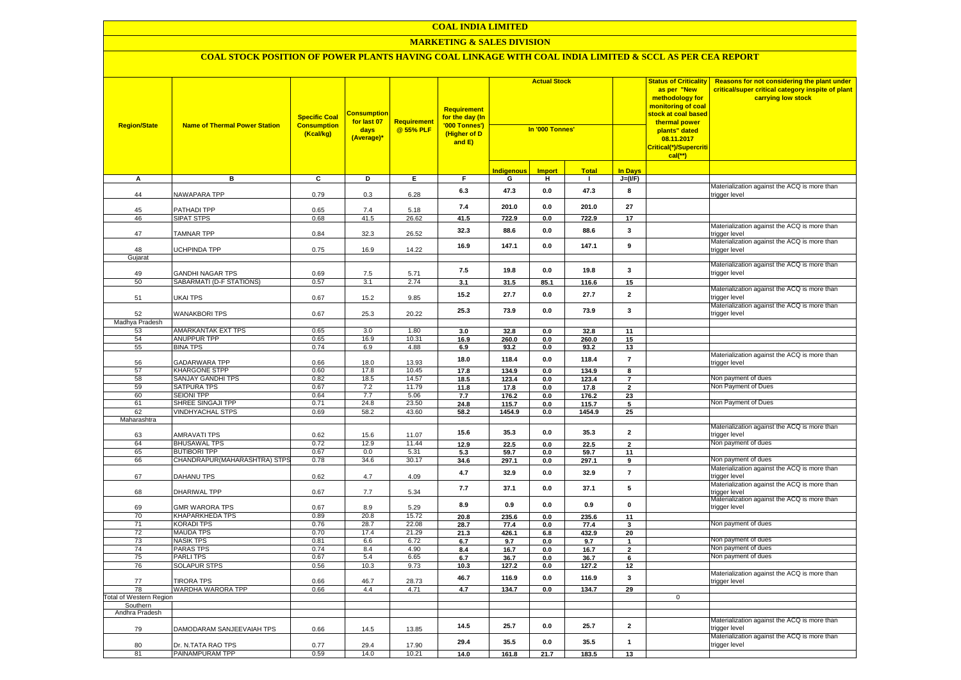# **MARKETING & SALES DIVISION**

| <b>Region/State</b>     | <b>Name of Thermal Power Station</b>             | <b>Specific Coal</b><br><b>Consumption</b><br>(Kcal/kg) | <mark>Consumption</mark><br>for last 07<br>days<br>(Average)* | Requirement<br>@ 55% PLF | Requirement<br>for the day (In<br>'000 Tonnes')<br>(Higher of D<br>and E) | <b>Actual Stock</b><br>In '000 Tonnes' |                       |                | <b>Status of Criticality</b><br>as per "New<br>methodology for<br>monitoring of coal<br>stock at coal based<br>thermal power<br>plants" dated<br>08.11.2017<br>Critical(*)/Supercriti<br>$cal(**)$ | Reasons for not considering the plant under<br>critical/super critical category inspite of plant<br>carrying low stock |                                                               |
|-------------------------|--------------------------------------------------|---------------------------------------------------------|---------------------------------------------------------------|--------------------------|---------------------------------------------------------------------------|----------------------------------------|-----------------------|----------------|----------------------------------------------------------------------------------------------------------------------------------------------------------------------------------------------------|------------------------------------------------------------------------------------------------------------------------|---------------------------------------------------------------|
|                         |                                                  |                                                         |                                                               |                          |                                                                           | <b>Indigenous</b>                      | <b>Import</b>         | <b>Total</b>   | <b>In Days</b>                                                                                                                                                                                     |                                                                                                                        |                                                               |
| A                       | в                                                | C                                                       | D                                                             | Е.                       | F.                                                                        | G                                      | н.                    | л.             | $J=(I/F)$                                                                                                                                                                                          |                                                                                                                        |                                                               |
| 44                      | NAWAPARA TPP                                     | 0.79                                                    | 0.3                                                           | 6.28                     | 6.3                                                                       | 47.3                                   | 0.0                   | 47.3           | 8                                                                                                                                                                                                  |                                                                                                                        | Materialization against the ACQ is more than<br>trigger level |
| 45                      | PATHADI TPP                                      | 0.65                                                    | 7.4                                                           | 5.18                     | 7.4                                                                       | 201.0                                  | 0.0                   | 201.0          | 27                                                                                                                                                                                                 |                                                                                                                        |                                                               |
| 46                      | <b>SIPAT STPS</b>                                | 0.68                                                    | 41.5                                                          | 26.62                    | 41.5                                                                      | 722.9                                  | 0.0                   | 722.9          | 17                                                                                                                                                                                                 |                                                                                                                        | Materialization against the ACQ is more than                  |
| 47                      | <b>TAMNAR TPP</b>                                | 0.84                                                    | 32.3                                                          | 26.52                    | 32.3                                                                      | 88.6                                   | 0.0                   | 88.6           | 3                                                                                                                                                                                                  |                                                                                                                        | trigger level<br>Materialization against the ACQ is more than |
| 48                      | <b>UCHPINDA TPP</b>                              | 0.75                                                    | 16.9                                                          | 14.22                    | 16.9                                                                      | 147.1                                  | 0.0                   | 147.1          | $\boldsymbol{9}$                                                                                                                                                                                   |                                                                                                                        | trigger level                                                 |
| Gujarat                 |                                                  |                                                         |                                                               |                          |                                                                           |                                        |                       |                |                                                                                                                                                                                                    |                                                                                                                        | Materialization against the ACQ is more than                  |
| 49                      | <b>GANDHI NAGAR TPS</b>                          | 0.69                                                    | 7.5                                                           | 5.71                     | 7.5                                                                       | 19.8                                   | 0.0                   | 19.8           | 3                                                                                                                                                                                                  |                                                                                                                        | trigger level                                                 |
| 50                      | SABARMATI (D-F STATIONS)                         | 0.57                                                    | 3.1                                                           | 2.74                     | 3.1                                                                       | 31.5                                   | 85.1                  | 116.6          | 15                                                                                                                                                                                                 |                                                                                                                        | Materialization against the ACQ is more than                  |
| 51                      | <b>UKAI TPS</b>                                  | 0.67                                                    | 15.2                                                          | 9.85                     | 15.2                                                                      | 27.7                                   | 0.0                   | 27.7           | $\mathbf{2}$                                                                                                                                                                                       |                                                                                                                        | trigger level                                                 |
| 52                      | <b>WANAKBORI TPS</b>                             | 0.67                                                    | 25.3                                                          | 20.22                    | 25.3                                                                      | 73.9                                   | 0.0                   | 73.9           | $\mathbf{3}$                                                                                                                                                                                       |                                                                                                                        | Materialization against the ACQ is more than<br>trigger level |
| Madhya Pradesh<br>53    | AMARKANTAK EXT TPS                               | 0.65                                                    | 3.0                                                           | 1.80                     | 3.0                                                                       | 32.8                                   | 0.0                   | 32.8           | 11                                                                                                                                                                                                 |                                                                                                                        |                                                               |
| 54                      | ANUPPUR TPP                                      | 0.65                                                    | 16.9                                                          | 10.31                    | 16.9                                                                      | 260.0                                  | 0.0                   | 260.0          | 15                                                                                                                                                                                                 |                                                                                                                        |                                                               |
| 55                      | <b>BINA TPS</b>                                  | 0.74                                                    | 6.9                                                           | 4.88                     | 6.9                                                                       | 93.2                                   | 0.0                   | 93.2           | 13                                                                                                                                                                                                 |                                                                                                                        |                                                               |
| 56                      | <b>GADARWARA TPP</b>                             | 0.66                                                    | 18.0                                                          | 13.93                    | 18.0                                                                      | 118.4                                  | 0.0                   | 118.4          | $\overline{7}$                                                                                                                                                                                     |                                                                                                                        | Materialization against the ACQ is more than<br>trigger level |
| 57<br>58                | <b>KHARGONE STPP</b><br><b>SANJAY GANDHI TPS</b> | 0.60<br>0.82                                            | 17.8<br>18.5                                                  | 10.45<br>14.57           | 17.8                                                                      | 134.9                                  | 0.0                   | 134.9          | 8                                                                                                                                                                                                  |                                                                                                                        | Non payment of dues                                           |
| 59                      | <b>SATPURA TPS</b>                               | 0.67                                                    | 7.2                                                           | 11.79                    | 18.5<br>11.8                                                              | 123.4<br>17.8                          | $\mathbf{0.0}$<br>0.0 | 123.4<br>17.8  | $\overline{\mathbf{r}}$<br>$\overline{2}$                                                                                                                                                          |                                                                                                                        | Non Payment of Dues                                           |
| 60                      | <b>SEIONI TPP</b>                                | 0.64                                                    | 7.7                                                           | 5.06                     | 7.7                                                                       | 176.2                                  | 0.0                   | 176.2          | $\overline{23}$                                                                                                                                                                                    |                                                                                                                        |                                                               |
| 61                      | SHREE SINGAJI TPP                                | 0.71                                                    | 24.8                                                          | 23.50                    | 24.8                                                                      | 115.7                                  | 0.0                   | 115.7          | 5                                                                                                                                                                                                  |                                                                                                                        | Non Payment of Dues                                           |
| 62                      | <b>VINDHYACHAL STPS</b>                          | 0.69                                                    | 58.2                                                          | 43.60                    | 58.2                                                                      | 1454.9                                 | 0.0                   | 1454.9         | 25                                                                                                                                                                                                 |                                                                                                                        |                                                               |
| Maharashtra<br>63       | <b>AMRAVATI TPS</b>                              | 0.62                                                    | 15.6                                                          | 11.07                    | 15.6                                                                      | 35.3                                   | 0.0                   | 35.3           | $\mathbf{2}$                                                                                                                                                                                       |                                                                                                                        | Materialization against the ACQ is more than<br>trigger level |
| 64                      | <b>BHUSAWAL TPS</b>                              | 0.72                                                    | 12.9                                                          | 11.44                    | 12.9                                                                      | 22.5                                   | 0.0                   | 22.5           | $\overline{2}$                                                                                                                                                                                     |                                                                                                                        | Non payment of dues                                           |
| 65                      | <b>BUTIBORI TPP</b>                              | 0.67                                                    | 0.0                                                           | 5.31                     | 5.3                                                                       | 59.7                                   | 0.0                   | 59.7           | 11                                                                                                                                                                                                 |                                                                                                                        |                                                               |
| 66                      | CHANDRAPUR(MAHARASHTRA) STPS                     | 0.78                                                    | 34.6                                                          | 30.17                    | 34.6                                                                      | 297.1                                  | 0.0                   | 297.1          | 9                                                                                                                                                                                                  |                                                                                                                        | Non payment of dues                                           |
| 67                      | DAHANU TPS                                       | 0.62                                                    | 4.7                                                           | 4.09                     | 4.7                                                                       | 32.9                                   | 0.0                   | 32.9           | $\overline{7}$                                                                                                                                                                                     |                                                                                                                        | Materialization against the ACQ is more than<br>trigger level |
| 68                      | <b>DHARIWAL TPP</b>                              | 0.67                                                    | 7.7                                                           | 5.34                     | 7.7                                                                       | 37.1                                   | 0.0                   | 37.1           | 5                                                                                                                                                                                                  |                                                                                                                        | Materialization against the ACQ is more than<br>trigger level |
| 69                      | <b>GMR WARORA TPS</b>                            | 0.67                                                    | 8.9                                                           | 5.29                     | 8.9                                                                       | 0.9                                    | 0.0                   | 0.9            | $\pmb{0}$                                                                                                                                                                                          |                                                                                                                        | Materialization against the ACQ is more than<br>trigger level |
| 70<br>71                | <b>KHAPARKHEDA TPS</b><br><b>KORADI TPS</b>      | 0.89<br>0.76                                            | 20.8<br>28.7                                                  | 15.72<br>22.08           | 20.8<br>28.7                                                              | 235.6<br>77.4                          | 0.0<br>0.0            | 235.6<br>77.4  | 11<br>3                                                                                                                                                                                            |                                                                                                                        | Non payment of dues                                           |
| 72                      | <b>MAUDA TPS</b>                                 | 0.70                                                    | 17.4                                                          | 21.29                    | 21.3                                                                      | 426.1                                  | 6.8                   | 432.9          | 20                                                                                                                                                                                                 |                                                                                                                        |                                                               |
| 73                      | <b>NASIK TPS</b>                                 | 0.81                                                    | 6.6                                                           | 6.72                     | 6.7                                                                       | 9.7                                    | 0.0                   | 9.7            | $\mathbf{1}$                                                                                                                                                                                       |                                                                                                                        | Non payment of dues                                           |
| 74                      | <b>PARAS TPS</b>                                 | 0.74                                                    | 8.4                                                           | 4.90                     | 8.4                                                                       | 16.7                                   | 0.0                   | 16.7           | $\mathbf{2}$                                                                                                                                                                                       |                                                                                                                        | Non payment of dues                                           |
| 75                      | <b>PARLITPS</b>                                  | 0.67                                                    | 5.4                                                           | 6.65                     | 6.7                                                                       | 36.7                                   | 0.0                   | 36.7           | 6                                                                                                                                                                                                  |                                                                                                                        | Non payment of dues                                           |
| 76                      | SOLAPUR STPS                                     | 0.56                                                    | 10.3                                                          | 9.73                     | 10.3                                                                      | 127.2                                  | 0.0                   | 127.2          | 12                                                                                                                                                                                                 |                                                                                                                        | Materialization against the ACQ is more than                  |
| 77<br>78                | <b>TIRORA TPS</b><br>WARDHA WARORA TPP           | 0.66<br>0.66                                            | 46.7<br>4.4                                                   | 28.73<br>4.71            | 46.7<br>4.7                                                               | 116.9<br>134.7                         | 0.0<br>0.0            | 116.9<br>134.7 | 3<br>29                                                                                                                                                                                            |                                                                                                                        | trigger level                                                 |
| Total of Western Region |                                                  |                                                         |                                                               |                          |                                                                           |                                        |                       |                |                                                                                                                                                                                                    | $\mathbf 0$                                                                                                            |                                                               |
| Southern                |                                                  |                                                         |                                                               |                          |                                                                           |                                        |                       |                |                                                                                                                                                                                                    |                                                                                                                        |                                                               |
| Andhra Pradesh          |                                                  |                                                         |                                                               |                          |                                                                           |                                        |                       |                |                                                                                                                                                                                                    |                                                                                                                        |                                                               |
| 79                      | DAMODARAM SANJEEVAIAH TPS                        | 0.66                                                    | 14.5                                                          | 13.85                    | 14.5                                                                      | 25.7                                   | 0.0                   | 25.7           | $\mathbf{2}$                                                                                                                                                                                       |                                                                                                                        | Materialization against the ACQ is more than<br>trigger level |
| 80                      | Dr. N.TATA RAO TPS                               | 0.77                                                    | 29.4                                                          | 17.90                    | 29.4                                                                      | 35.5                                   | 0.0                   | 35.5           | $\mathbf{1}$                                                                                                                                                                                       |                                                                                                                        | Materialization against the ACQ is more than<br>trigger level |
| 81                      | PAINAMPURAM TPP                                  | 0.59                                                    | 14.0                                                          | 10.21                    | 14.0                                                                      | 161.8                                  | 21.7                  | 183.5          | 13                                                                                                                                                                                                 |                                                                                                                        |                                                               |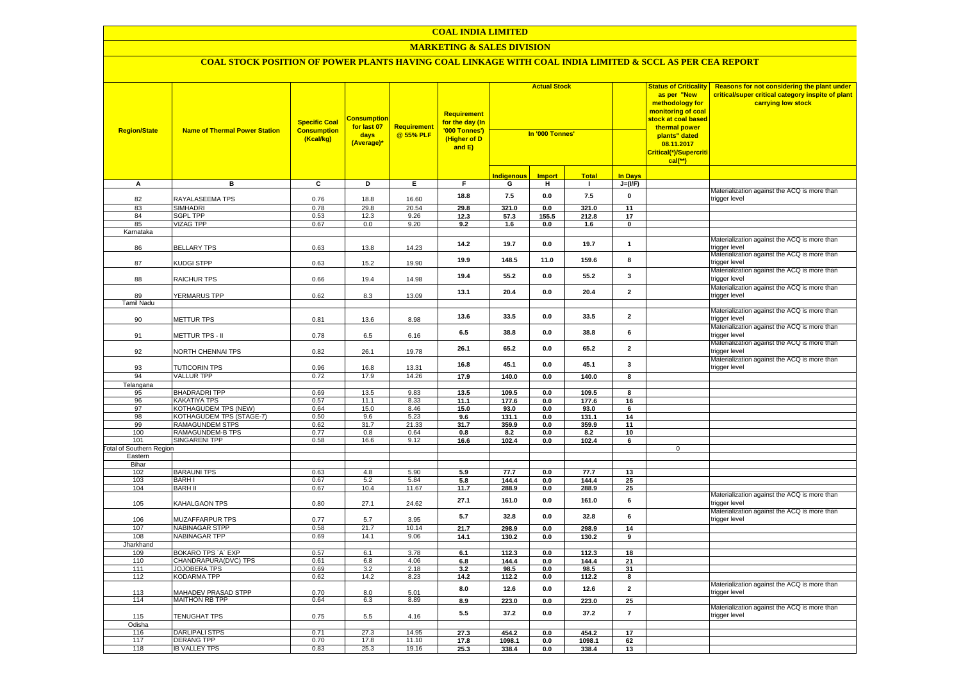# **MARKETING & SALES DIVISION**

| <b>Region/State</b>             | <b>Name of Thermal Power Station</b> | <b>Specific Coal</b><br><b>Consumption</b><br>(Kcal/kg) | <mark>Consumption</mark><br>for last 07<br>days<br>(Average)* | <b>Requirement</b><br>@ 55% PLF | Requirement<br>for the day (In<br>'000 Tonnes')<br>(Higher of D<br>and E) | <b>Actual Stock</b><br>In '000 Tonnes' |               |              |                | <b>Status of Criticality</b><br>as per "New<br>methodology for<br>monitoring of coal<br>stock at coal based<br>thermal power<br>plants" dated<br>08.11.2017<br>Critical(*)/Supercriti<br>$cal$ (**) | <b>Reasons for not considering the plant under</b><br>critical/super critical category inspite of plant<br>carrying low stock |
|---------------------------------|--------------------------------------|---------------------------------------------------------|---------------------------------------------------------------|---------------------------------|---------------------------------------------------------------------------|----------------------------------------|---------------|--------------|----------------|-----------------------------------------------------------------------------------------------------------------------------------------------------------------------------------------------------|-------------------------------------------------------------------------------------------------------------------------------|
|                                 |                                      |                                                         |                                                               |                                 |                                                                           | I <mark>ndigenous</mark>               | <b>Import</b> | <b>Total</b> | <b>In Days</b> |                                                                                                                                                                                                     |                                                                                                                               |
| A                               | в                                    | $\overline{c}$                                          | Þ                                                             | E                               | F.                                                                        | G                                      | н.            | $\mathbf{L}$ | $J=(I/F)$      |                                                                                                                                                                                                     |                                                                                                                               |
| 82                              | RAYALASEEMA TPS                      | 0.76                                                    | 18.8                                                          | 16.60                           | 18.8                                                                      | 7.5                                    | 0.0           | 7.5          | $\pmb{0}$      |                                                                                                                                                                                                     | Materialization against the ACQ is more than<br>trigger level                                                                 |
| 83                              | <b>SIMHADRI</b>                      | 0.78                                                    | 29.8                                                          | 20.54                           | 29.8                                                                      | 321.0                                  | 0.0           | 321.0        | 11             |                                                                                                                                                                                                     |                                                                                                                               |
| 84                              | <b>SGPL TPP</b>                      | 0.53                                                    | 12.3                                                          | 9.26                            | 12.3                                                                      | 57.3                                   | 155.5         | 212.8        | 17             |                                                                                                                                                                                                     |                                                                                                                               |
| 85                              | <b>VIZAG TPP</b>                     | 0.67                                                    | 0.0                                                           | 9.20                            | 9.2                                                                       | 1.6                                    | 0.0           | 1.6          | $\mathbf 0$    |                                                                                                                                                                                                     |                                                                                                                               |
| Karnataka                       |                                      |                                                         |                                                               |                                 |                                                                           |                                        |               |              |                |                                                                                                                                                                                                     |                                                                                                                               |
| 86                              | <b>BELLARY TPS</b>                   | 0.63                                                    | 13.8                                                          | 14.23                           | 14.2                                                                      | 19.7                                   | 0.0           | 19.7         | $\mathbf{1}$   |                                                                                                                                                                                                     | Materialization against the ACQ is more than<br>trigger level                                                                 |
| 87                              | KUDGI STPP                           | 0.63                                                    | 15.2                                                          | 19.90                           | 19.9                                                                      | 148.5                                  | 11.0          | 159.6        | 8              |                                                                                                                                                                                                     | Materialization against the ACQ is more than<br>trigger level                                                                 |
| 88                              | RAICHUR TPS                          | 0.66                                                    | 19.4                                                          | 14.98                           | 19.4                                                                      | 55.2                                   | 0.0           | 55.2         | $\mathbf{3}$   |                                                                                                                                                                                                     | Materialization against the ACQ is more than<br>trigger level                                                                 |
| 89                              | YERMARUS TPP                         | 0.62                                                    | 8.3                                                           | 13.09                           | 13.1                                                                      | 20.4                                   | 0.0           | 20.4         | $\overline{2}$ |                                                                                                                                                                                                     | Materialization against the ACQ is more than<br>trigger level                                                                 |
| <b>Tamil Nadu</b>               |                                      |                                                         |                                                               |                                 |                                                                           |                                        |               |              |                |                                                                                                                                                                                                     |                                                                                                                               |
| 90                              | <b>METTUR TPS</b>                    | 0.81                                                    | 13.6                                                          | 8.98                            | 13.6                                                                      | 33.5                                   | 0.0           | 33.5         | $\overline{2}$ |                                                                                                                                                                                                     | Materialization against the ACQ is more than<br>rigger level                                                                  |
| 91                              | METTUR TPS - II                      | 0.78                                                    | 6.5                                                           | 6.16                            | 6.5                                                                       | 38.8                                   | 0.0           | 38.8         | 6              |                                                                                                                                                                                                     | Materialization against the ACQ is more than<br>trigger level                                                                 |
| 92                              | NORTH CHENNAI TPS                    | 0.82                                                    | 26.1                                                          | 19.78                           | 26.1                                                                      | 65.2                                   | 0.0           | 65.2         | $\overline{2}$ |                                                                                                                                                                                                     | Materialization against the ACQ is more than<br>trigger level                                                                 |
| 93                              | TUTICORIN TPS                        | 0.96                                                    | 16.8                                                          | 13.31                           | 16.8                                                                      | 45.1                                   | 0.0           | 45.1         | $\mathbf{3}$   |                                                                                                                                                                                                     | Materialization against the ACQ is more than<br>trigger level                                                                 |
| 94                              | <b>VALLUR TPP</b>                    | 0.72                                                    | 17.9                                                          | 14.26                           | 17.9                                                                      | 140.0                                  | 0.0           | 140.0        | 8              |                                                                                                                                                                                                     |                                                                                                                               |
| Telangana                       |                                      |                                                         |                                                               |                                 |                                                                           |                                        |               |              |                |                                                                                                                                                                                                     |                                                                                                                               |
| 95                              | <b>BHADRADRI TPP</b>                 | 0.69                                                    | 13.5                                                          | 9.83                            | 13.5                                                                      | 109.5                                  | 0.0           | 109.5        | 8              |                                                                                                                                                                                                     |                                                                                                                               |
| 96                              | <b>KAKATIYA TPS</b>                  | 0.57                                                    | 11.1                                                          | 8.33                            | 11.1                                                                      | 177.6                                  | 0.0           | 177.6        | 16             |                                                                                                                                                                                                     |                                                                                                                               |
| 97                              | KOTHAGUDEM TPS (NEW)                 | 0.64                                                    | 15.0                                                          | 8.46                            | 15.0                                                                      | 93.0                                   | 0.0           | 93.0         | 6              |                                                                                                                                                                                                     |                                                                                                                               |
| 98                              | <b>KOTHAGUDEM TPS (STAGE-7)</b>      | 0.50                                                    | 9.6                                                           | 5.23                            | 9.6                                                                       | 131.1                                  | 0.0           | 131.1        | 14             |                                                                                                                                                                                                     |                                                                                                                               |
| 99                              | <b>RAMAGUNDEM STPS</b>               | 0.62                                                    | 31.7                                                          | 21.33                           | 31.7                                                                      | 359.9                                  | 0.0           | 359.9        | 11             |                                                                                                                                                                                                     |                                                                                                                               |
| 100                             | <b>RAMAGUNDEM-B TPS</b>              | 0.77                                                    | 0.8                                                           | 0.64                            | 0.8                                                                       | 8.2                                    | 0.0           | 8.2          | 10             |                                                                                                                                                                                                     |                                                                                                                               |
| 101                             | <b>SINGARENI TPP</b>                 | 0.58                                                    | 16.6                                                          | 9.12                            | 16.6                                                                      | 102.4                                  | 0.0           | 102.4        | 6              |                                                                                                                                                                                                     |                                                                                                                               |
| <b>Total of Southern Region</b> |                                      |                                                         |                                                               |                                 |                                                                           |                                        |               |              |                | $\mathbf 0$                                                                                                                                                                                         |                                                                                                                               |
| Eastern                         |                                      |                                                         |                                                               |                                 |                                                                           |                                        |               |              |                |                                                                                                                                                                                                     |                                                                                                                               |
| Bihar<br>102                    | <b>BARAUNI TPS</b>                   | 0.63                                                    | 4.8                                                           | 5.90                            | 5.9                                                                       | 77.7                                   | 0.0           | 77.7         | 13             |                                                                                                                                                                                                     |                                                                                                                               |
| 103                             | <b>BARHI</b>                         | 0.67                                                    | 5.2                                                           | 5.84                            | 5.8                                                                       | 144.4                                  | 0.0           | 144.4        | 25             |                                                                                                                                                                                                     |                                                                                                                               |
| 104                             | <b>BARH II</b>                       | 0.67                                                    | 10.4                                                          | 11.67                           | 11.7                                                                      | 288.9                                  | 0.0           | 288.9        | 25             |                                                                                                                                                                                                     |                                                                                                                               |
| 105                             | <b>KAHALGAON TPS</b>                 | 0.80                                                    | 27.1                                                          | 24.62                           | 27.1                                                                      | 161.0                                  | 0.0           | 161.0        | 6              |                                                                                                                                                                                                     | Materialization against the ACQ is more than<br>trigger level                                                                 |
| 106                             | MUZAFFARPUR TPS                      | 0.77                                                    | 5.7                                                           | 3.95                            | 5.7                                                                       | 32.8                                   | 0.0           | 32.8         | $6\phantom{1}$ |                                                                                                                                                                                                     | Materialization against the ACQ is more than<br>trigger level                                                                 |
| 107                             | <b>NABINAGAR STPP</b>                | 0.58                                                    | 21.7                                                          | 10.14                           | 21.7                                                                      | 298.9                                  | 0.0           | 298.9        | 14             |                                                                                                                                                                                                     |                                                                                                                               |
| 108                             | <b>NABINAGAR TPP</b>                 | 0.69                                                    | 14.1                                                          | 9.06                            | 14.1                                                                      | 130.2                                  | 0.0           | 130.2        | 9              |                                                                                                                                                                                                     |                                                                                                                               |
| Jharkhand                       |                                      |                                                         |                                                               |                                 |                                                                           |                                        |               |              |                |                                                                                                                                                                                                     |                                                                                                                               |
| 109                             | BOKARO TPS 'A' EXP                   | 0.57                                                    | 6.1                                                           | 3.78                            | 6.1                                                                       | 112.3                                  | 0.0           | 112.3        | 18             |                                                                                                                                                                                                     |                                                                                                                               |
| 110                             | CHANDRAPURA(DVC) TPS                 | 0.61                                                    | 6.8                                                           | 4.06                            | 6.8                                                                       | 144.4                                  | 0.0           | 144.4        | 21             |                                                                                                                                                                                                     |                                                                                                                               |
| 111                             | JOJOBERA TPS                         | 0.69                                                    | 3.2                                                           | 2.18                            | 3.2                                                                       | 98.5                                   | 0.0           | 98.5         | 31             |                                                                                                                                                                                                     |                                                                                                                               |
| 112                             | <b>KODARMA TPP</b>                   | 0.62                                                    | 14.2                                                          | 8.23                            | 14.2                                                                      | 112.2                                  | 0.0           | 112.2        | 8              |                                                                                                                                                                                                     |                                                                                                                               |
| 113                             | <b>JAHADEV PRASAD STPP</b>           | 0.70                                                    | 8.0                                                           | 5.01                            | 8.0                                                                       | 12.6                                   | 0.0           | 12.6         | $\overline{2}$ |                                                                                                                                                                                                     | Materialization against the ACQ is more than<br>rigger level                                                                  |
| 114                             | <b>MAITHON RB TPP</b>                | 0.64                                                    | 6.3                                                           | 8.89                            | 8.9                                                                       | 223.0                                  | 0.0           | 223.0        | 25             |                                                                                                                                                                                                     |                                                                                                                               |
| 115                             | TENUGHAT TPS                         | 0.75                                                    | 5.5                                                           | 4.16                            | 5.5                                                                       | 37.2                                   | 0.0           | 37.2         | $\overline{7}$ |                                                                                                                                                                                                     | Materialization against the ACQ is more than<br>trigger level                                                                 |
| Odisha                          |                                      |                                                         |                                                               |                                 |                                                                           |                                        |               |              |                |                                                                                                                                                                                                     |                                                                                                                               |
| 116                             | <b>DARLIPALI STPS</b>                | 0.71                                                    | 27.3                                                          | 14.95                           | 27.3                                                                      | 454.2                                  | 0.0           | 454.2        | 17             |                                                                                                                                                                                                     |                                                                                                                               |
| 117                             | <b>DERANG TPP</b>                    | 0.70                                                    | 17.8                                                          | 11.10                           | 17.8                                                                      | 1098.1                                 | 0.0           | 1098.1       | 62             |                                                                                                                                                                                                     |                                                                                                                               |
| 118                             | <b>IB VALLEY TPS</b>                 | 0.83                                                    | 25.3                                                          | 19.16                           | 25.3                                                                      | 338.4                                  | 0.0           | 338.4        | 13             |                                                                                                                                                                                                     |                                                                                                                               |